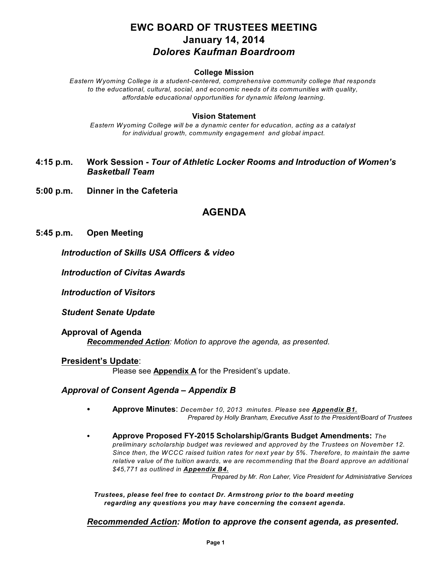# **EWC BOARD OF TRUSTEES MEETING January 14, 2014** *Dolores Kaufman Boardroom*

#### **College Mission**

*Eastern Wyoming College is a student-centered, comprehensive community college that responds to the educational, cultural, social, and economic needs of its communities with quality, affordable educational opportunities for dynamic lifelong learning.*

#### **Vision Statement**

*Eastern Wyoming College will be a dynamic center for education, acting as a catalyst for individual growth, community engagement and global impact.*

- **4:15 p.m. Work Session** *Tour of Athletic Locker Rooms and Introduction of Women's Basketball Team*
- **5:00 p.m. Dinner in the Cafeteria**

# **AGENDA**

#### **5:45 p.m. Open Meeting**

*Introduction of Skills USA Officers & video*

*Introduction of Civitas Awards*

*Introduction of Visitors*

*Student Senate Update*

**Approval of Agenda** *Recommended Action: Motion to approve the agenda, as presented.*

#### **President's Update**:

Please see **Appendix A** for the President's update.

## *Approval of Consent Agenda – Appendix B*

- C **Approve Minutes**: *December 10, 2013 minutes. Please see Appendix B1. Prepared by Holly Branham, Executive Asst to the President/Board of Trustees*
- C **Approve Proposed FY-2015 Scholarship/Grants Budget Amendments:** *The preliminary scholarship budget was reviewed and approved by the Trustees on November 12. Since then, the WCCC raised tuition rates for next year by 5%. Therefore, to maintain the same relative value of the tuition awards, we are recommending that the Board approve an additional \$45,771 as outlined in Appendix B4.*

*Prepared by Mr. Ron Laher, Vice President for Administrative Services*

*Trustees, please feel free to contact Dr. Armstrong prior to the board meeting regarding any questions you may have concerning the consent agenda.*

## *Recommended Action: Motion to approve the consent agenda, as presented***.**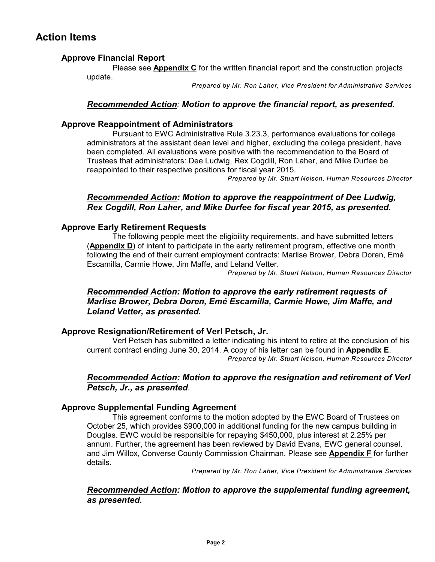# **Action Items**

# **Approve Financial Report**

Please see **Appendix C** for the written financial report and the construction projects update.

*Prepared by Mr. Ron Laher, Vice President for Administrative Services*

## *Recommended Action: Motion to approve the financial report, as presented.*

## **Approve Reappointment of Administrators**

Pursuant to EWC Administrative Rule 3.23.3, performance evaluations for college administrators at the assistant dean level and higher, excluding the college president, have been completed. All evaluations were positive with the recommendation to the Board of Trustees that administrators: Dee Ludwig, Rex Cogdill, Ron Laher, and Mike Durfee be reappointed to their respective positions for fiscal year 2015.

*Prepared by Mr. Stuart Nelson, Human Resources Director*

# *Recommended Action: Motion to approve the reappointment of Dee Ludwig, Rex Cogdill, Ron Laher, and Mike Durfee for fiscal year 2015, as presented.*

## **Approve Early Retirement Requests**

The following people meet the eligibility requirements, and have submitted letters (**Appendix D**) of intent to participate in the early retirement program, effective one month following the end of their current employment contracts: Marlise Brower, Debra Doren, Emé Escamilla, Carmie Howe, Jim Maffe, and Leland Vetter.

*Prepared by Mr. Stuart Nelson, Human Resources Director*

# *Recommended Action: Motion to approve the early retirement requests of Marlise Brower, Debra Doren, Emé Escamilla, Carmie Howe, Jim Maffe, and Leland Vetter, as presented.*

## **Approve Resignation/Retirement of Verl Petsch, Jr.**

Verl Petsch has submitted a letter indicating his intent to retire at the conclusion of his current contract ending June 30, 2014. A copy of his letter can be found in **Appendix E**. *Prepared by Mr. Stuart Nelson, Human Resources Director*

## *Recommended Action: Motion to approve the resignation and retirement of Verl Petsch, Jr., as presented*.

## **Approve Supplemental Funding Agreement**

This agreement conforms to the motion adopted by the EWC Board of Trustees on October 25, which provides \$900,000 in additional funding for the new campus building in Douglas. EWC would be responsible for repaying \$450,000, plus interest at 2.25% per annum. Further, the agreement has been reviewed by David Evans, EWC general counsel, and Jim Willox, Converse County Commission Chairman. Please see **Appendix F** for further details.

*Prepared by Mr. Ron Laher, Vice President for Administrative Services*

## *Recommended Action: Motion to approve the supplemental funding agreement, as presented.*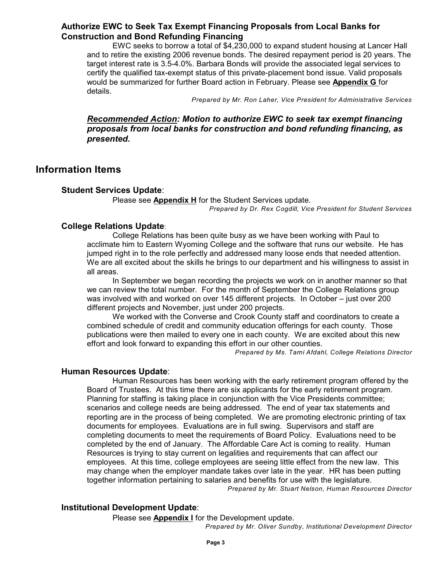## **Authorize EWC to Seek Tax Exempt Financing Proposals from Local Banks for Construction and Bond Refunding Financing**

EWC seeks to borrow a total of \$4,230,000 to expand student housing at Lancer Hall and to retire the existing 2006 revenue bonds. The desired repayment period is 20 years. The target interest rate is 3.5-4.0%. Barbara Bonds will provide the associated legal services to certify the qualified tax-exempt status of this private-placement bond issue. Valid proposals would be summarized for further Board action in February. Please see **Appendix G** for details.

*Prepared by Mr. Ron Laher, Vice President for Administrative Services*

## *Recommended Action: Motion to authorize EWC to seek tax exempt financing proposals from local banks for construction and bond refunding financing, as presented.*

# **Information Items**

#### **Student Services Update**:

Please see **Appendix H** for the Student Services update.

*Prepared by Dr. Rex Cogdill, Vice President for Student Services*

#### **College Relations Update**:

College Relations has been quite busy as we have been working with Paul to acclimate him to Eastern Wyoming College and the software that runs our website. He has jumped right in to the role perfectly and addressed many loose ends that needed attention. We are all excited about the skills he brings to our department and his willingness to assist in all areas.

In September we began recording the projects we work on in another manner so that we can review the total number. For the month of September the College Relations group was involved with and worked on over 145 different projects. In October – just over 200 different projects and November, just under 200 projects.

We worked with the Converse and Crook County staff and coordinators to create a combined schedule of credit and community education offerings for each county. Those publications were then mailed to every one in each county. We are excited about this new effort and look forward to expanding this effort in our other counties.

*Prepared by Ms. Tami Afdahl, College Relations Director*

#### **Human Resources Update**:

Human Resources has been working with the early retirement program offered by the Board of Trustees. At this time there are six applicants for the early retirement program. Planning for staffing is taking place in conjunction with the Vice Presidents committee; scenarios and college needs are being addressed. The end of year tax statements and reporting are in the process of being completed. We are promoting electronic printing of tax documents for employees. Evaluations are in full swing. Supervisors and staff are completing documents to meet the requirements of Board Policy. Evaluations need to be completed by the end of January. The Affordable Care Act is coming to reality. Human Resources is trying to stay current on legalities and requirements that can affect our employees. At this time, college employees are seeing little effect from the new law. This may change when the employer mandate takes over late in the year. HR has been putting together information pertaining to salaries and benefits for use with the legislature.

*Prepared by Mr. Stuart Nelson, Human Resources Director*

## **Institutional Development Update**:

Please see **Appendix I** for the Development update.

*Prepared by Mr. Oliver Sundby, Institutional Development Director*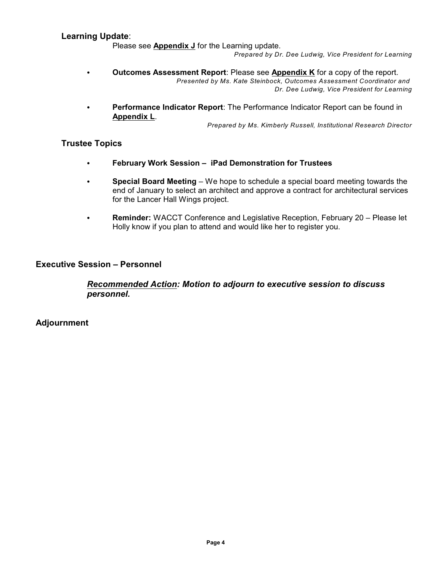#### **Learning Update**:

Please see **Appendix J** for the Learning update.

*Prepared by Dr. Dee Ludwig, Vice President for Learning*

- C **Outcomes Assessment Report**: Please see **Appendix K** for a copy of the report. *Presented by Ms. Kate Steinbock, Outcomes Assessment Coordinator and Dr. Dee Ludwig, Vice President for Learning*
- Performance Indicator Report: The Performance Indicator Report can be found in **Appendix L**.

*Prepared by Ms. Kimberly Russell, Institutional Research Director*

## **Trustee Topics**

- **• February Work Session iPad Demonstration for Trustees**
- C **Special Board Meeting**  We hope to schedule a special board meeting towards the end of January to select an architect and approve a contract for architectural services for the Lancer Hall Wings project.
- **Reminder:** WACCT Conference and Legislative Reception, February 20 Please let Holly know if you plan to attend and would like her to register you.

## **Executive Session – Personnel**

# *Recommended Action: Motion to adjourn to executive session to discuss personnel.*

**Adjournment**